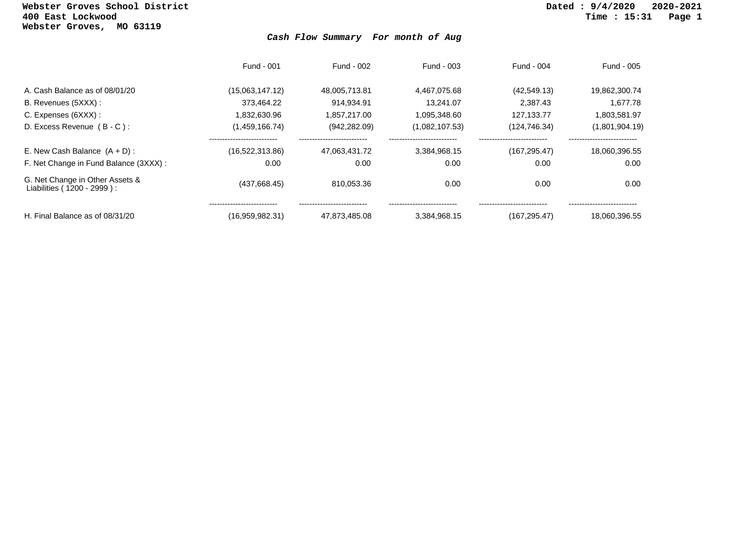## **Webster Groves School District Dated : 9/4/2020 2020-2021 Webster Groves, MO 63119**

## *Cash Flow Summary For month of Aug*

|                                                               | Fund - 001          | Fund - 002        | Fund - 003     | Fund - 004                              | Fund - 005                            |
|---------------------------------------------------------------|---------------------|-------------------|----------------|-----------------------------------------|---------------------------------------|
| A. Cash Balance as of 08/01/20                                | (15,063,147.12)     | 48,005,713.81     | 4.467.075.68   | (42, 549.13)                            | 19,862,300.74                         |
| B. Revenues (5XXX) :                                          | 373.464.22          | 914.934.91        | 13.241.07      | 2.387.43                                | 1.677.78                              |
| C. Expenses (6XXX) :                                          | 1,832,630.96        | 1.857.217.00      | 1.095.348.60   | 127.133.77                              | 1,803,581.97                          |
| D. Excess Revenue (B-C):                                      | (1,459,166.74)      | (942, 282.09)     | (1,082,107.53) | (124, 746.34)                           | (1,801,904.19)                        |
| E. New Cash Balance $(A + D)$ :                               | <br>(16,522,313.86) | <br>47.063.431.72 | 3.384.968.15   | ----------------------<br>(167, 295.47) | --------------------<br>18.060.396.55 |
| F. Net Change in Fund Balance (3XXX) :                        | 0.00                | 0.00              | 0.00           | 0.00                                    | 0.00                                  |
| G. Net Change in Other Assets &<br>Liabilities (1200 - 2999): | (437,668.45)        | 810,053.36        | 0.00           | 0.00                                    | 0.00                                  |
| H. Final Balance as of 08/31/20                               | <br>(16,959,982.31) | 47.873.485.08     | 3.384.968.15   | (167.295.47)                            | 18.060.396.55                         |